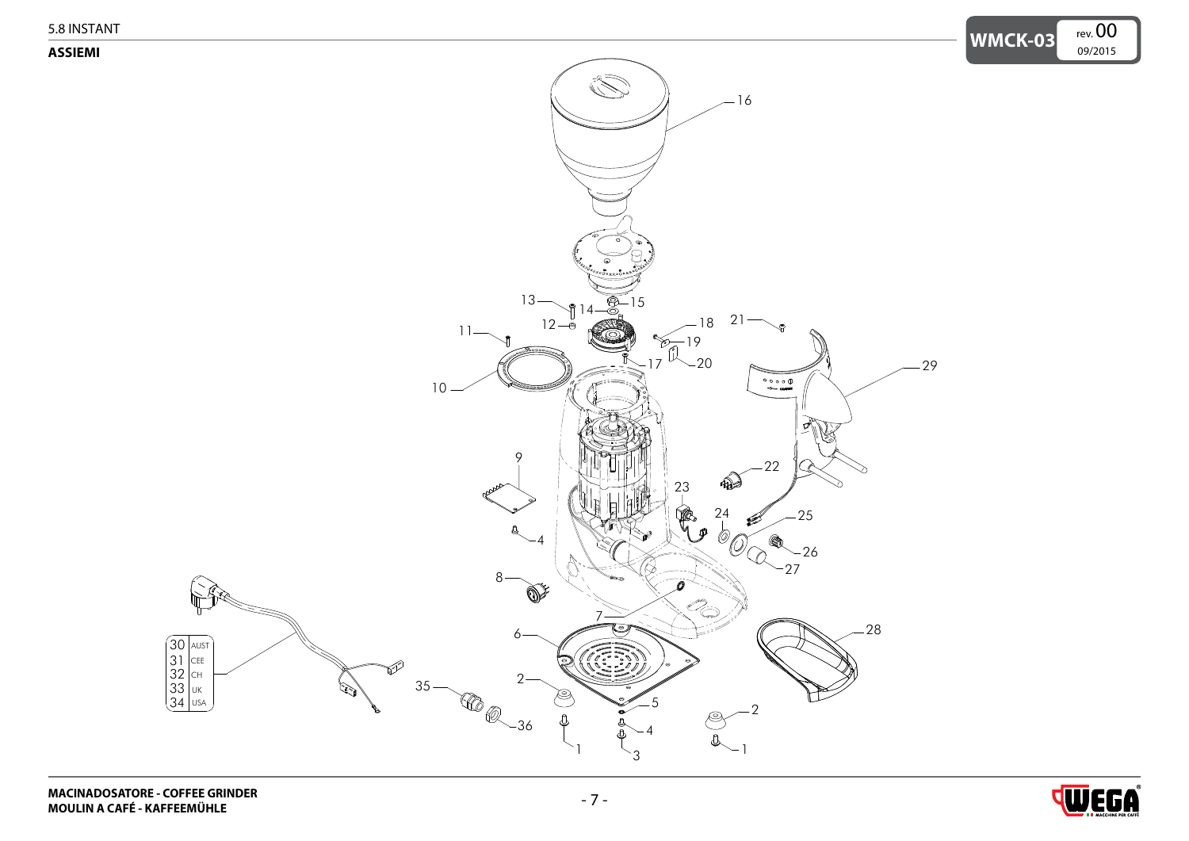<span id="page-0-0"></span>